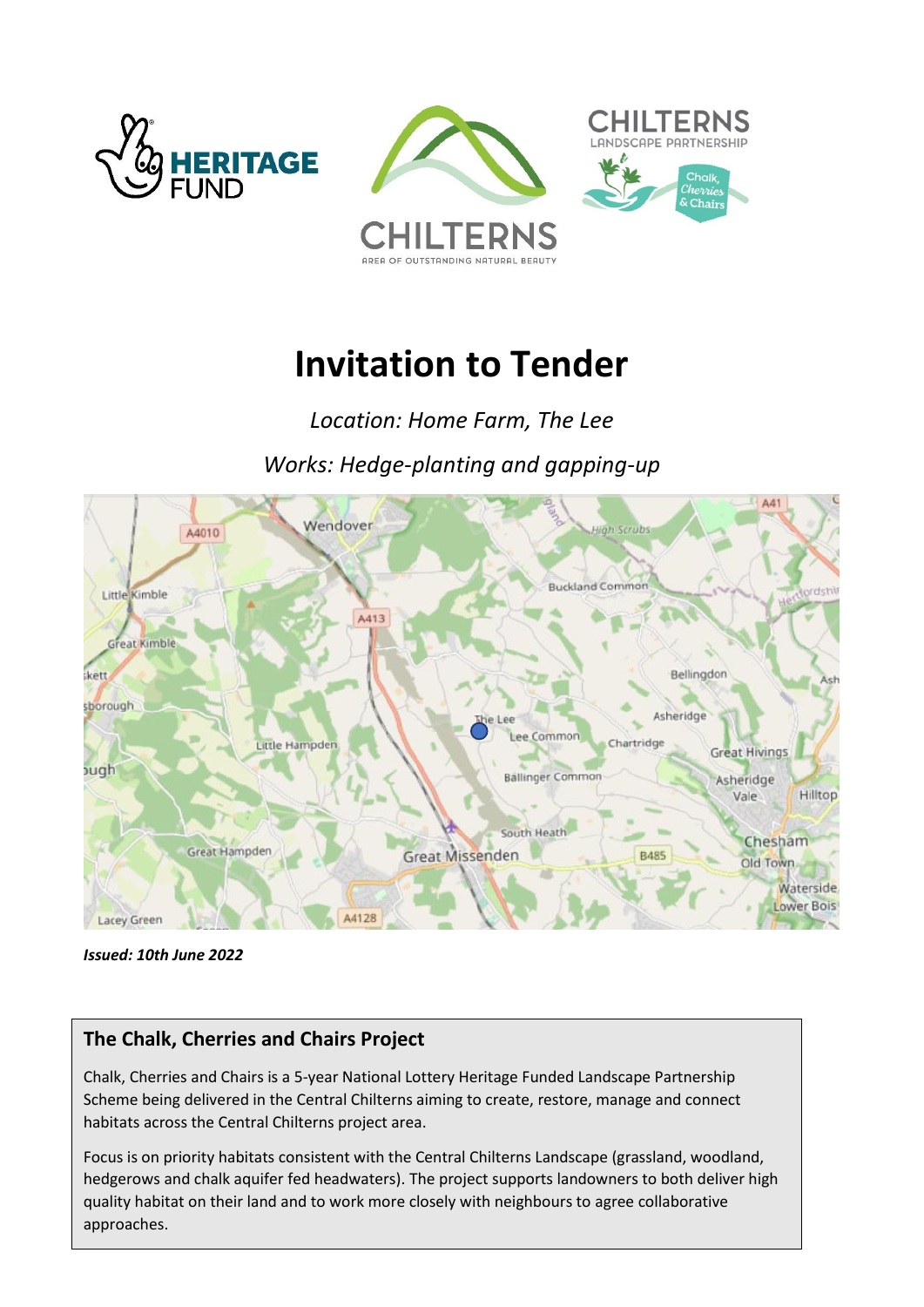



# **Invitation to Tender**

*Location: Home Farm, The Lee*

*Works: Hedge-planting and gapping-up*



*Issued: 10th June 2022*

### **The Chalk, Cherries and Chairs Project**

Chalk, Cherries and Chairs is a 5-year National Lottery Heritage Funded Landscape Partnership Scheme being delivered in the Central Chilterns aiming to create, restore, manage and connect habitats across the Central Chilterns project area.

hedgerows and chalk aquifer fed headwaters). The project supports landowners to both deliver high<br>quality habitat an their land and to werk mare classly with neighbours to agree collaborative Focus is on priority habitats consistent with the Central Chilterns Landscape (grassland, woodland, quality habitat on their land and to work more closely with neighbours to agree collaborative approaches.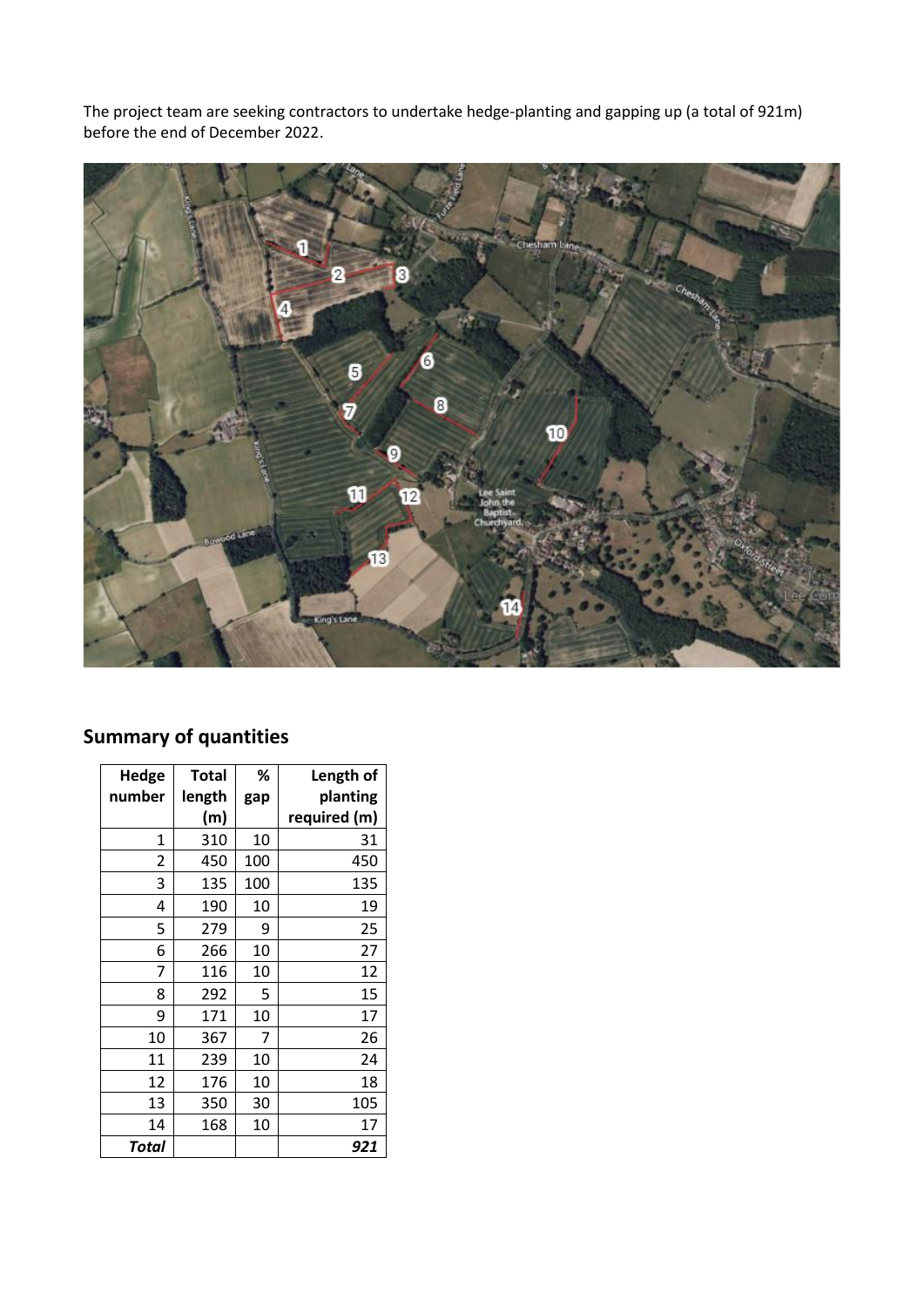The project team are seeking contractors to undertake hedge-planting and gapping up (a total of 921m) before the end of December 2022.



## **Summary of quantities**

| Hedge  | Total  | %   | Length of    |
|--------|--------|-----|--------------|
| number | length | gap | planting     |
|        | (m)    |     | required (m) |
| 1      | 310    | 10  | 31           |
| 2      | 450    | 100 | 450          |
| 3      | 135    | 100 | 135          |
| 4      | 190    | 10  | 19           |
| 5      | 279    | 9   | 25           |
| 6      | 266    | 10  | 27           |
| 7      | 116    | 10  | 12           |
| 8      | 292    | 5   | 15           |
| 9      | 171    | 10  | 17           |
| 10     | 367    | 7   | 26           |
| 11     | 239    | 10  | 24           |
| 12     | 176    | 10  | 18           |
| 13     | 350    | 30  | 105          |
| 14     | 168    | 10  | 17           |
| Total  |        |     | 921          |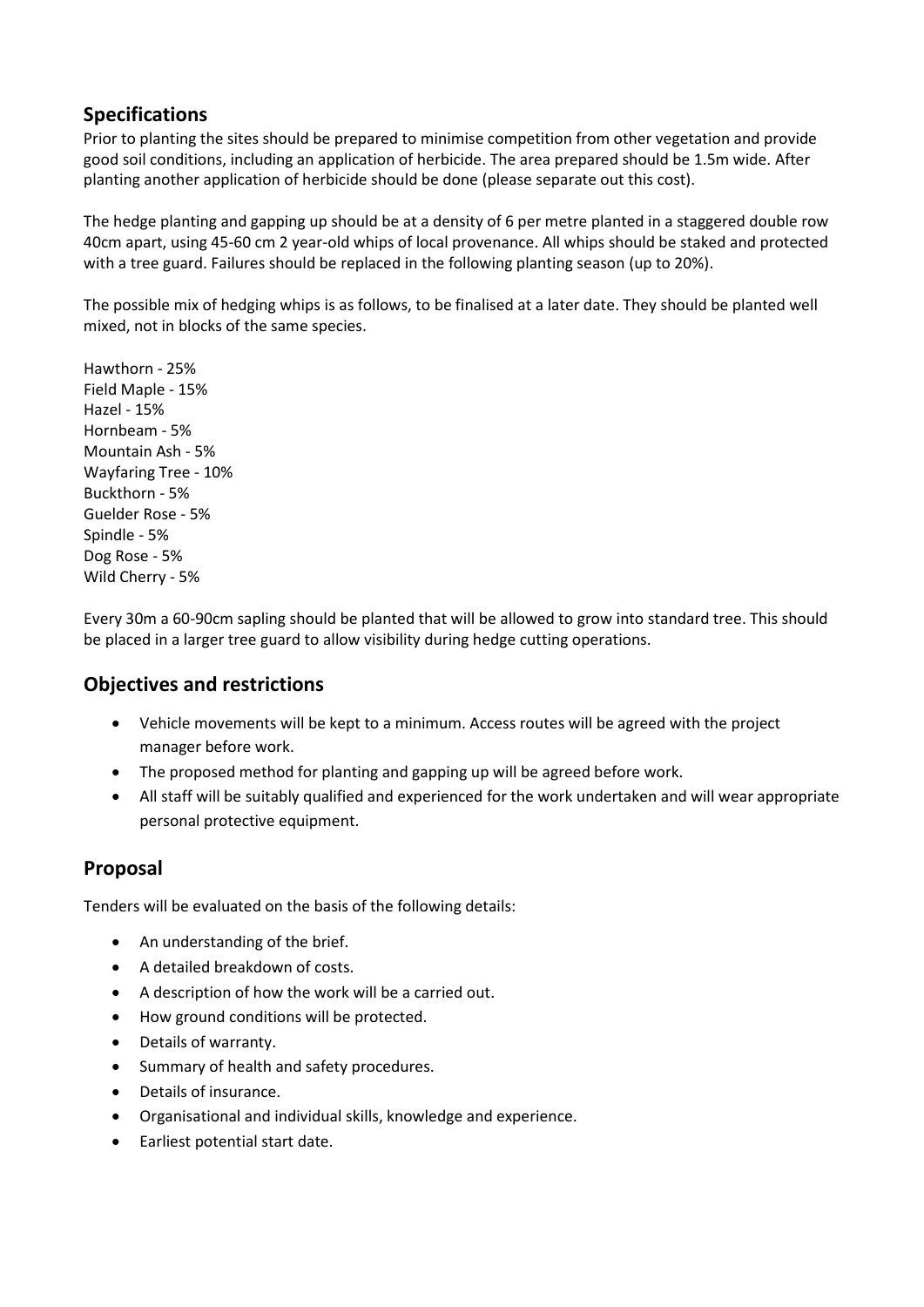#### **Specifications**

Prior to planting the sites should be prepared to minimise competition from other vegetation and provide good soil conditions, including an application of herbicide. The area prepared should be 1.5m wide. After planting another application of herbicide should be done (please separate out this cost).

The hedge planting and gapping up should be at a density of 6 per metre planted in a staggered double row 40cm apart, using 45-60 cm 2 year-old whips of local provenance. All whips should be staked and protected with a tree guard. Failures should be replaced in the following planting season (up to 20%).

The possible mix of hedging whips is as follows, to be finalised at a later date. They should be planted well mixed, not in blocks of the same species.

Hawthorn - 25% Field Maple - 15% Hazel - 15% Hornbeam - 5% Mountain Ash - 5% Wayfaring Tree - 10% Buckthorn - 5% Guelder Rose - 5% Spindle - 5% Dog Rose - 5% Wild Cherry - 5%

Every 30m a 60-90cm sapling should be planted that will be allowed to grow into standard tree. This should be placed in a larger tree guard to allow visibility during hedge cutting operations.

#### **Objectives and restrictions**

- Vehicle movements will be kept to a minimum. Access routes will be agreed with the project manager before work.
- The proposed method for planting and gapping up will be agreed before work.
- All staff will be suitably qualified and experienced for the work undertaken and will wear appropriate personal protective equipment.

### **Proposal**

Tenders will be evaluated on the basis of the following details:

- An understanding of the brief.
- A detailed breakdown of costs.
- A description of how the work will be a carried out.
- How ground conditions will be protected.
- Details of warranty.
- Summary of health and safety procedures.
- Details of insurance.
- Organisational and individual skills, knowledge and experience.
- Earliest potential start date.